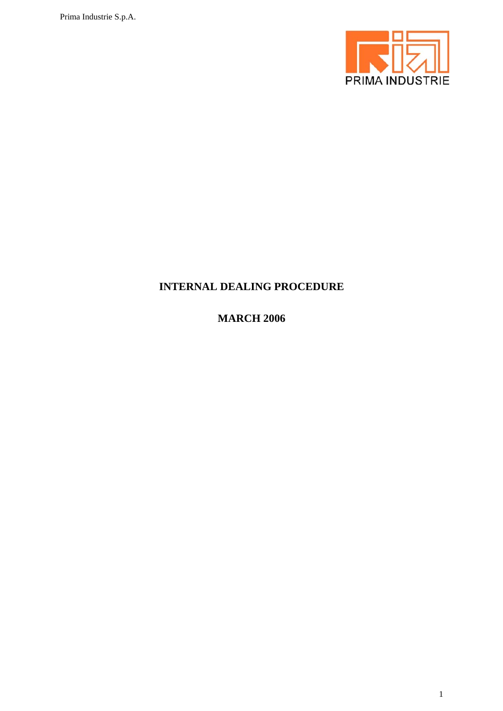

# **INTERNAL DEALING PROCEDURE**

**MARCH 2006**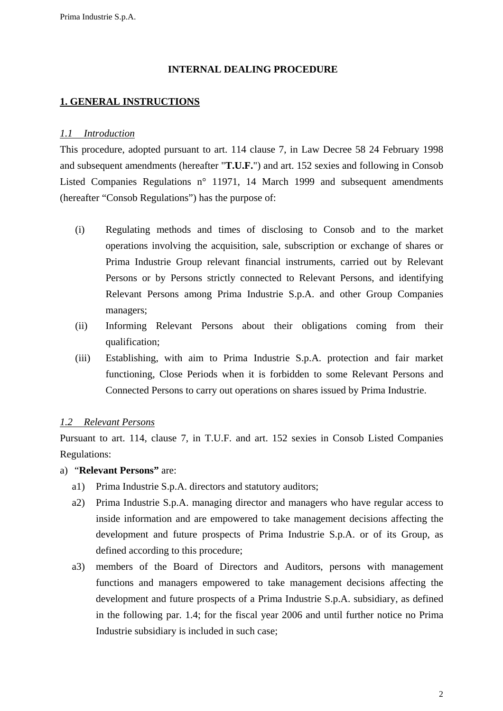### **INTERNAL DEALING PROCEDURE**

## **1. GENERAL INSTRUCTIONS**

#### *1.1 Introduction*

This procedure, adopted pursuant to art. 114 clause 7, in Law Decree 58 24 February 1998 and subsequent amendments (hereafter "**T.U.F.**") and art. 152 sexies and following in Consob Listed Companies Regulations n° 11971, 14 March 1999 and subsequent amendments (hereafter "Consob Regulations") has the purpose of:

- (i) Regulating methods and times of disclosing to Consob and to the market operations involving the acquisition, sale, subscription or exchange of shares or Prima Industrie Group relevant financial instruments, carried out by Relevant Persons or by Persons strictly connected to Relevant Persons, and identifying Relevant Persons among Prima Industrie S.p.A. and other Group Companies managers;
- (ii) Informing Relevant Persons about their obligations coming from their qualification;
- (iii) Establishing, with aim to Prima Industrie S.p.A. protection and fair market functioning, Close Periods when it is forbidden to some Relevant Persons and Connected Persons to carry out operations on shares issued by Prima Industrie.

#### *1.2 Relevant Persons*

Pursuant to art. 114, clause 7, in T.U.F. and art. 152 sexies in Consob Listed Companies Regulations:

- a) "**Relevant Persons"** are:
	- a1) Prima Industrie S.p.A. directors and statutory auditors;
	- a2) Prima Industrie S.p.A. managing director and managers who have regular access to inside information and are empowered to take management decisions affecting the development and future prospects of Prima Industrie S.p.A. or of its Group, as defined according to this procedure;
	- a3) members of the Board of Directors and Auditors, persons with management functions and managers empowered to take management decisions affecting the development and future prospects of a Prima Industrie S.p.A. subsidiary, as defined in the following par. 1.4; for the fiscal year 2006 and until further notice no Prima Industrie subsidiary is included in such case;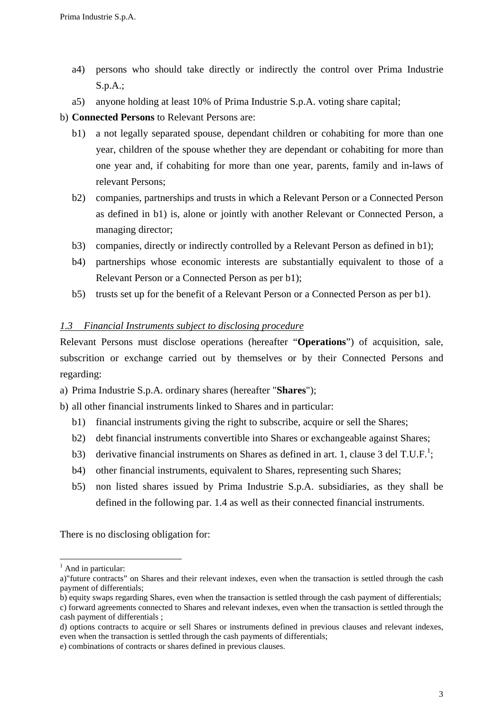- a4) persons who should take directly or indirectly the control over Prima Industrie S.p.A.;
- a5) anyone holding at least 10% of Prima Industrie S.p.A. voting share capital;
- b) **Connected Persons** to Relevant Persons are:
	- b1) a not legally separated spouse, dependant children or cohabiting for more than one year, children of the spouse whether they are dependant or cohabiting for more than one year and, if cohabiting for more than one year, parents, family and in-laws of relevant Persons;
	- b2) companies, partnerships and trusts in which a Relevant Person or a Connected Person as defined in b1) is, alone or jointly with another Relevant or Connected Person, a managing director;
	- b3) companies, directly or indirectly controlled by a Relevant Person as defined in b1);
	- b4) partnerships whose economic interests are substantially equivalent to those of a Relevant Person or a Connected Person as per b1);
	- b5) trusts set up for the benefit of a Relevant Person or a Connected Person as per b1).

### *1.3 Financial Instruments subject to disclosing procedure*

Relevant Persons must disclose operations (hereafter "**Operations**") of acquisition, sale, subscrition or exchange carried out by themselves or by their Connected Persons and regarding:

a) Prima Industrie S.p.A. ordinary shares (hereafter "**Shares**");

b) all other financial instruments linked to Shares and in particular:

- b1) financial instruments giving the right to subscribe, acquire or sell the Shares;
- b2) debt financial instruments convertible into Shares or exchangeable against Shares;
- b3) derivative financial instruments on Shares as defined in art. 1, clause 3 del T.U.F.<sup>1</sup>;
	- b4) other financial instruments, equivalent to Shares, representing such Shares;
	- b5) non listed shares issued by Prima Industrie S.p.A. subsidiaries, as they shall be defined in the following par. 1.4 as well as their connected financial instruments.

There is no disclosing obligation for:

 $\overline{a}$ 

<sup>&</sup>lt;sup>1</sup> And in particular:

a)"future contracts" on Shares and their relevant indexes, even when the transaction is settled through the cash payment of differentials;

b) equity swaps regarding Shares, even when the transaction is settled through the cash payment of differentials; c) forward agreements connected to Shares and relevant indexes, even when the transaction is settled through the cash payment of differentials ;

d) options contracts to acquire or sell Shares or instruments defined in previous clauses and relevant indexes, even when the transaction is settled through the cash payments of differentials;

e) combinations of contracts or shares defined in previous clauses.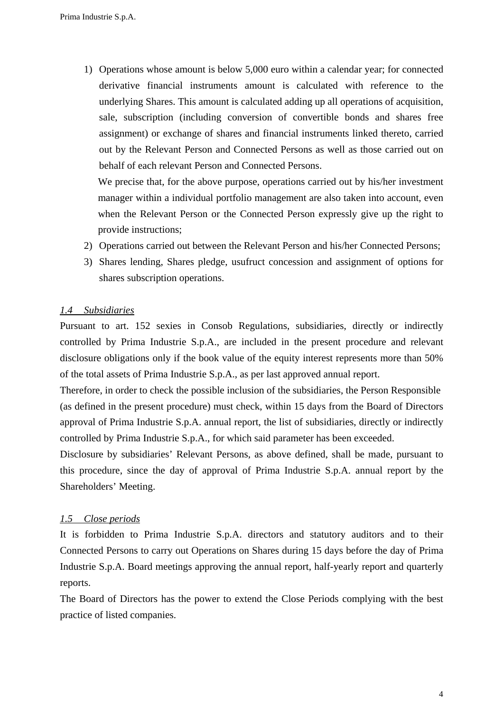1) Operations whose amount is below 5,000 euro within a calendar year; for connected derivative financial instruments amount is calculated with reference to the underlying Shares. This amount is calculated adding up all operations of acquisition, sale, subscription (including conversion of convertible bonds and shares free assignment) or exchange of shares and financial instruments linked thereto, carried out by the Relevant Person and Connected Persons as well as those carried out on behalf of each relevant Person and Connected Persons.

We precise that, for the above purpose, operations carried out by his/her investment manager within a individual portfolio management are also taken into account, even when the Relevant Person or the Connected Person expressly give up the right to provide instructions;

- 2) Operations carried out between the Relevant Person and his/her Connected Persons;
- 3) Shares lending, Shares pledge, usufruct concession and assignment of options for shares subscription operations.

#### *1.4 Subsidiaries*

Pursuant to art. 152 sexies in Consob Regulations, subsidiaries, directly or indirectly controlled by Prima Industrie S.p.A., are included in the present procedure and relevant disclosure obligations only if the book value of the equity interest represents more than 50% of the total assets of Prima Industrie S.p.A., as per last approved annual report.

Therefore, in order to check the possible inclusion of the subsidiaries, the Person Responsible (as defined in the present procedure) must check, within 15 days from the Board of Directors approval of Prima Industrie S.p.A. annual report, the list of subsidiaries, directly or indirectly controlled by Prima Industrie S.p.A., for which said parameter has been exceeded.

Disclosure by subsidiaries' Relevant Persons, as above defined, shall be made, pursuant to this procedure, since the day of approval of Prima Industrie S.p.A. annual report by the Shareholders' Meeting.

#### *1.5 Close periods*

It is forbidden to Prima Industrie S.p.A. directors and statutory auditors and to their Connected Persons to carry out Operations on Shares during 15 days before the day of Prima Industrie S.p.A. Board meetings approving the annual report, half-yearly report and quarterly reports.

The Board of Directors has the power to extend the Close Periods complying with the best practice of listed companies.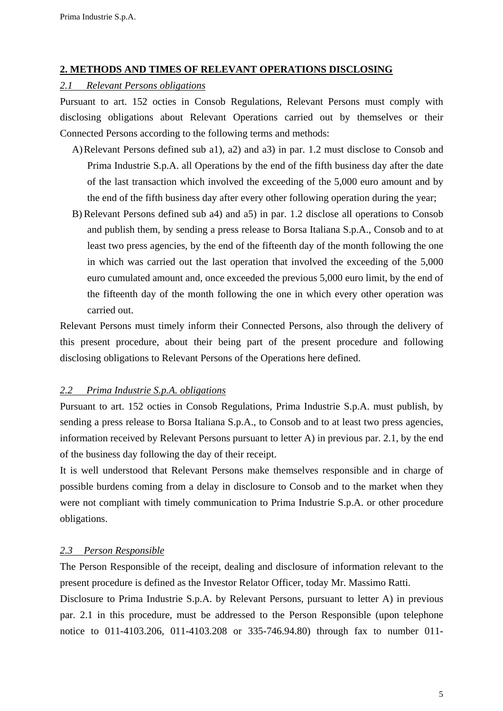### **2. METHODS AND TIMES OF RELEVANT OPERATIONS DISCLOSING**

### *2.1 Relevant Persons obligations*

Pursuant to art. 152 octies in Consob Regulations, Relevant Persons must comply with disclosing obligations about Relevant Operations carried out by themselves or their Connected Persons according to the following terms and methods:

- A) Relevant Persons defined sub a1), a2) and a3) in par. 1.2 must disclose to Consob and Prima Industrie S.p.A. all Operations by the end of the fifth business day after the date of the last transaction which involved the exceeding of the 5,000 euro amount and by the end of the fifth business day after every other following operation during the year;
- B) Relevant Persons defined sub a4) and a5) in par. 1.2 disclose all operations to Consob and publish them, by sending a press release to Borsa Italiana S.p.A., Consob and to at least two press agencies, by the end of the fifteenth day of the month following the one in which was carried out the last operation that involved the exceeding of the 5,000 euro cumulated amount and, once exceeded the previous 5,000 euro limit, by the end of the fifteenth day of the month following the one in which every other operation was carried out.

Relevant Persons must timely inform their Connected Persons, also through the delivery of this present procedure, about their being part of the present procedure and following disclosing obligations to Relevant Persons of the Operations here defined.

#### *2.2 Prima Industrie S.p.A. obligations*

Pursuant to art. 152 octies in Consob Regulations, Prima Industrie S.p.A. must publish, by sending a press release to Borsa Italiana S.p.A., to Consob and to at least two press agencies, information received by Relevant Persons pursuant to letter A) in previous par. 2.1, by the end of the business day following the day of their receipt.

It is well understood that Relevant Persons make themselves responsible and in charge of possible burdens coming from a delay in disclosure to Consob and to the market when they were not compliant with timely communication to Prima Industrie S.p.A. or other procedure obligations.

## *2.3 Person Responsible*

The Person Responsible of the receipt, dealing and disclosure of information relevant to the present procedure is defined as the Investor Relator Officer, today Mr. Massimo Ratti.

Disclosure to Prima Industrie S.p.A. by Relevant Persons, pursuant to letter A) in previous par. 2.1 in this procedure, must be addressed to the Person Responsible (upon telephone notice to 011-4103.206, 011-4103.208 or 335-746.94.80) through fax to number 011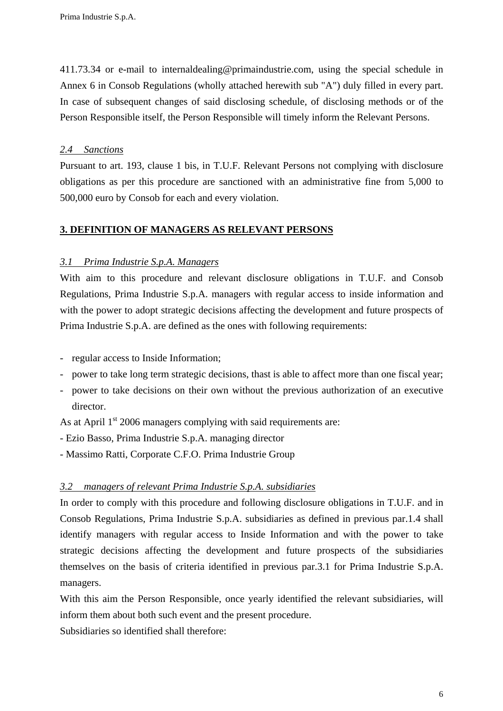411.73.34 or e-mail to internaldealing@primaindustrie.com, using the special schedule in Annex 6 in Consob Regulations (wholly attached herewith sub "A") duly filled in every part. In case of subsequent changes of said disclosing schedule, of disclosing methods or of the Person Responsible itself, the Person Responsible will timely inform the Relevant Persons.

### *2.4 Sanctions*

Pursuant to art. 193, clause 1 bis, in T.U.F. Relevant Persons not complying with disclosure obligations as per this procedure are sanctioned with an administrative fine from 5,000 to 500,000 euro by Consob for each and every violation.

## **3. DEFINITION OF MANAGERS AS RELEVANT PERSONS**

## *3.1 Prima Industrie S.p.A. Managers*

With aim to this procedure and relevant disclosure obligations in T.U.F. and Consob Regulations, Prima Industrie S.p.A. managers with regular access to inside information and with the power to adopt strategic decisions affecting the development and future prospects of Prima Industrie S.p.A. are defined as the ones with following requirements:

- regular access to Inside Information;
- power to take long term strategic decisions, thast is able to affect more than one fiscal year;
- power to take decisions on their own without the previous authorization of an executive director.

As at April  $1<sup>st</sup>$  2006 managers complying with said requirements are:

- Ezio Basso, Prima Industrie S.p.A. managing director
- Massimo Ratti, Corporate C.F.O. Prima Industrie Group

## *3.2 managers of relevant Prima Industrie S.p.A. subsidiaries*

In order to comply with this procedure and following disclosure obligations in T.U.F. and in Consob Regulations, Prima Industrie S.p.A. subsidiaries as defined in previous par.1.4 shall identify managers with regular access to Inside Information and with the power to take strategic decisions affecting the development and future prospects of the subsidiaries themselves on the basis of criteria identified in previous par.3.1 for Prima Industrie S.p.A. managers.

With this aim the Person Responsible, once yearly identified the relevant subsidiaries, will inform them about both such event and the present procedure.

Subsidiaries so identified shall therefore: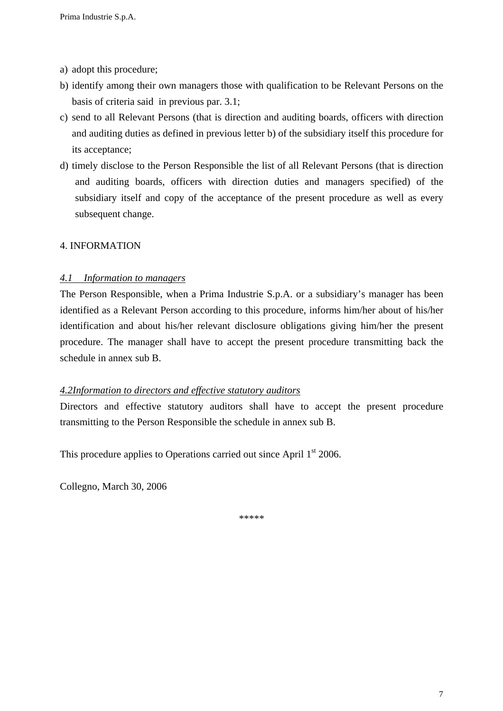- a) adopt this procedure;
- b) identify among their own managers those with qualification to be Relevant Persons on the basis of criteria said in previous par. 3.1;
- c) send to all Relevant Persons (that is direction and auditing boards, officers with direction and auditing duties as defined in previous letter b) of the subsidiary itself this procedure for its acceptance;
- d) timely disclose to the Person Responsible the list of all Relevant Persons (that is direction and auditing boards, officers with direction duties and managers specified) of the subsidiary itself and copy of the acceptance of the present procedure as well as every subsequent change.

### 4. INFORMATION

### *4.1 Information to managers*

The Person Responsible, when a Prima Industrie S.p.A. or a subsidiary's manager has been identified as a Relevant Person according to this procedure, informs him/her about of his/her identification and about his/her relevant disclosure obligations giving him/her the present procedure. The manager shall have to accept the present procedure transmitting back the schedule in annex sub B.

#### *4.2Information to directors and effective statutory auditors*

Directors and effective statutory auditors shall have to accept the present procedure transmitting to the Person Responsible the schedule in annex sub B.

This procedure applies to Operations carried out since April 1<sup>st</sup> 2006.

Collegno, March 30, 2006

\*\*\*\*\*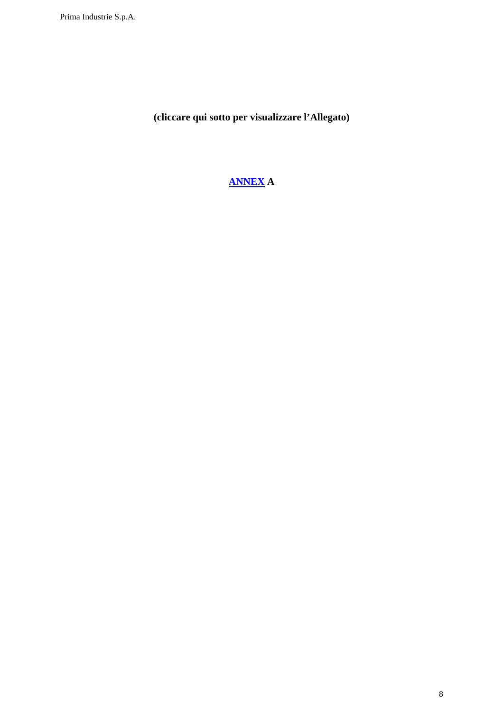**(cliccare qui sotto per visualizzare l'Allegato)** 

## **ANNEX A**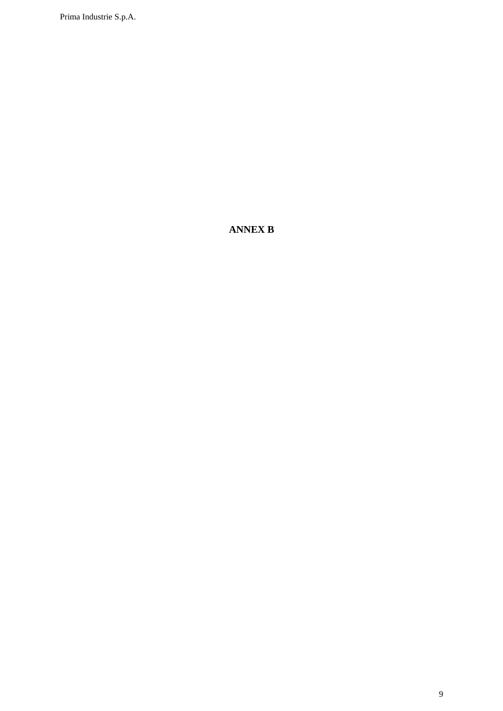Prima Industrie S.p.A.

## **ANNEX B**